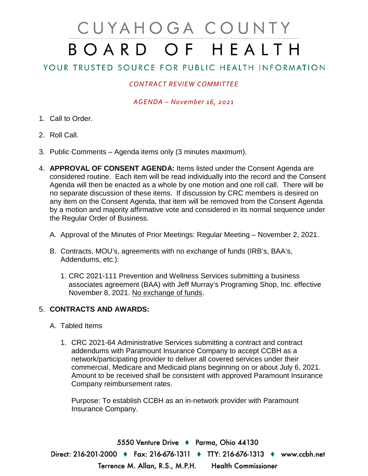# CUYAHOGA COUNTY BOARD OF HEALTH

## YOUR TRUSTED SOURCE FOR PUBLIC HEALTH INFORMATION

## *CONTRACT REVIEW COMMITTEE*

### *AGENDA – November 16, 2021*

- 1. Call to Order.
- 2. Roll Call.
- 3. Public Comments Agenda items only (3 minutes maximum).
- 4. **APPROVAL OF CONSENT AGENDA:** Items listed under the Consent Agenda are considered routine. Each item will be read individually into the record and the Consent Agenda will then be enacted as a whole by one motion and one roll call. There will be no separate discussion of these items. If discussion by CRC members is desired on any item on the Consent Agenda, that item will be removed from the Consent Agenda by a motion and majority affirmative vote and considered in its normal sequence under the Regular Order of Business.
	- A. Approval of the Minutes of Prior Meetings: Regular Meeting November 2, 2021.
	- B. Contracts, MOU's, agreements with no exchange of funds (IRB's, BAA's, Addendums, etc.):
		- 1. CRC 2021-111 Prevention and Wellness Services submitting a business associates agreement (BAA) with Jeff Murray's Programing Shop, Inc. effective November 8, 2021. No exchange of funds.

### 5. **CONTRACTS AND AWARDS:**

- A. Tabled Items
	- 1. CRC 2021-64 Administrative Services submitting a contract and contract addendums with Paramount Insurance Company to accept CCBH as a network/participating provider to deliver all covered services under their commercial, Medicare and Medicaid plans beginning on or about July 6, 2021. Amount to be received shall be consistent with approved Paramount Insurance Company reimbursement rates.

Purpose: To establish CCBH as an in-network provider with Paramount Insurance Company.

5550 Venture Drive + Parma, Ohio 44130 Direct: 216-201-2000 ♦ Fax: 216-676-1311 ♦ TTY: 216-676-1313 ♦ www.ccbh.net Terrence M. Allan, R.S., M.P.H. **Health Commissioner**